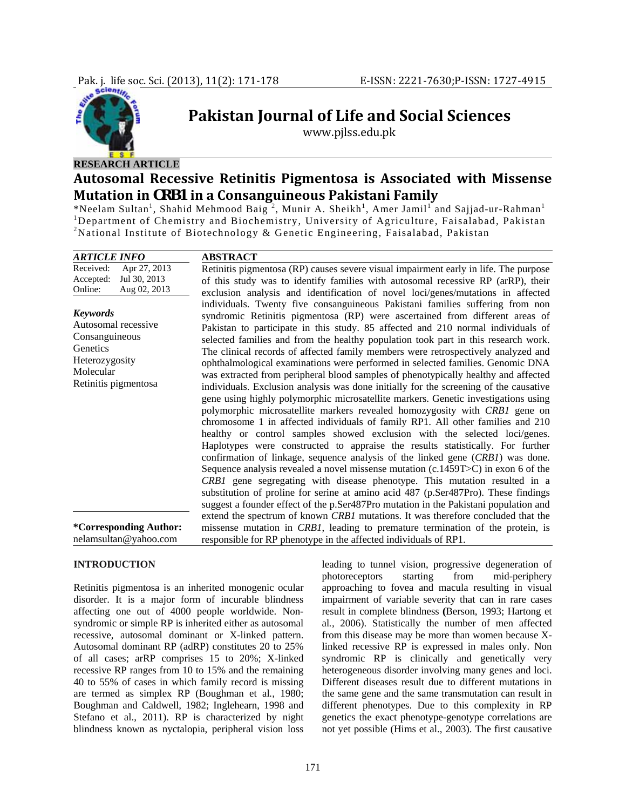

# **Pakistan Journal of Life and Social Sciences**

www.pjlss.edu.pk

## **RESEARCH ARTICLE**

## **Autosomal Recessive Retinitis Pigmentosa is Associated with Missense Mutation in** *CRB1* **in a Consanguineous Pakistani Family**

\*Neelam Sultan<sup>1</sup>, Shahid Mehmood Baig<sup>2</sup>, Munir A. Sheikh<sup>1</sup>, Amer Jamil<sup>1</sup> and Sajjad-ur-Rahman<sup>1</sup> <sup>1</sup>Department of Chemistry and Biochemistry, University of Agriculture, Faisalabad, Pakistan <sup>2</sup>National Institute of Biotechnology & Genetic Engineering, Faisalabad, Pakistan

#### **INTRODUCTION**

Retinitis pigmentosa is an inherited monogenic ocular disorder. It is a major form of incurable blindness affecting one out of 4000 people worldwide. Nonsyndromic or simple RP is inherited either as autosomal recessive, autosomal dominant or X-linked pattern. Autosomal dominant RP (adRP) constitutes 20 to 25% of all cases; arRP comprises 15 to 20%; X-linked recessive RP ranges from 10 to 15% and the remaining 40 to 55% of cases in which family record is missing are termed as simplex RP (Boughman et al*.,* 1980; Boughman and Caldwell*,* 1982; Inglehearn, 1998 and Stefano et al., 2011). RP is characterized by night blindness known as nyctalopia, peripheral vision loss

leading to tunnel vision, progressive degeneration of photoreceptors starting from mid-periphery approaching to fovea and macula resulting in visual impairment of variable severity that can in rare cases result in complete blindness **(**Berson, 1993; Hartong et al*.,* 2006). Statistically the number of men affected from this disease may be more than women because Xlinked recessive RP is expressed in males only. Non syndromic RP is clinically and genetically very heterogeneous disorder involving many genes and loci. Different diseases result due to different mutations in the same gene and the same transmutation can result in different phenotypes. Due to this complexity in RP genetics the exact phenotype-genotype correlations are not yet possible (Hims et al., 2003). The first causative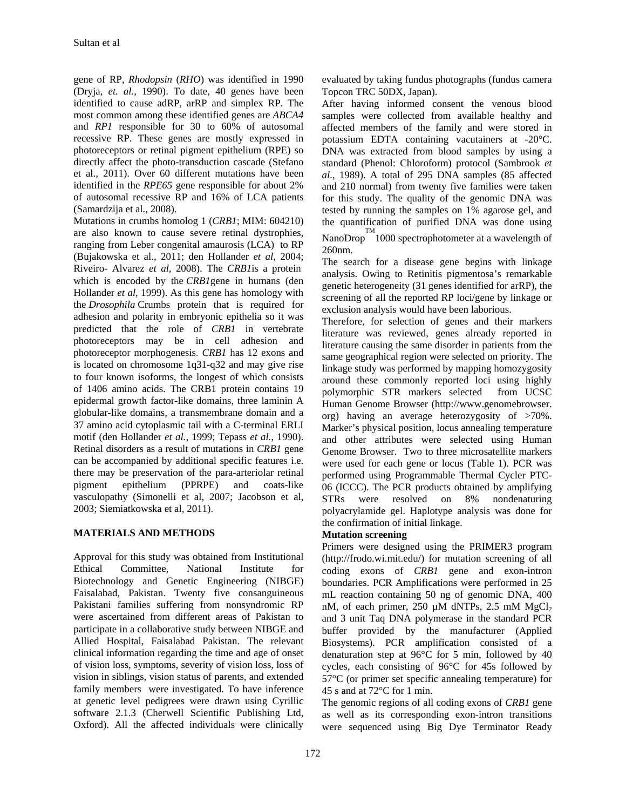gene of RP, *Rhodopsin* (*RHO*) was identified in 1990 (Dryja, *et. al*., 1990). To date, 40 genes have been identified to cause adRP, arRP and simplex RP. The most common among these identified genes are *ABCA4*  and *RP1* responsible for 30 to 60% of autosomal recessive RP. These genes are mostly expressed in photoreceptors or retinal pigment epithelium (RPE) so directly affect the photo-transduction cascade (Stefano et al., 2011). Over 60 different mutations have been identified in the *RPE65* gene responsible for about 2% of autosomal recessive RP and 16% of LCA patients (Samardzija et al., 2008).

Mutations in crumbs homolog 1 (*CRB1*; MIM: 604210) are also known to cause severe retinal dystrophies, ranging from Leber congenital amaurosis (LCA) to RP (Bujakowska et al., 2011; den Hollander *et al*, 2004; Riveiro- Alvarez *et al*, 2008). The *CRB1*is a protein which is encoded by the *CRB1*gene in humans (den Hollander *et al*, 1999). As this gene has homology with the *Drosophila* Crumbs protein that is required for adhesion and polarity in embryonic epithelia so it was predicted that the role of *CRB1* in vertebrate photoreceptors may be in cell adhesion and photoreceptor morphogenesis. *CRB1* has 12 exons and is located on chromosome 1q31-q32 and may give rise to four known isoforms, the longest of which consists of 1406 amino acids. The CRB1 protein contains 19 epidermal growth factor-like domains, three laminin A globular-like domains, a transmembrane domain and a 37 amino acid cytoplasmic tail with a C-terminal ERLI motif (den Hollander *et al.,* 1999; Tepass *et al.*, 1990). Retinal disorders as a result of mutations in *CRB1* gene can be accompanied by additional specific features i.e. there may be preservation of the para-arteriolar retinal pigment epithelium (PPRPE) and coats-like vasculopathy (Simonelli et al, 2007; Jacobson et al, 2003; Siemiatkowska et al, 2011).

## **MATERIALS AND METHODS**

Approval for this study was obtained from Institutional Ethical Committee, National Institute for Biotechnology and Genetic Engineering (NIBGE) Faisalabad, Pakistan. Twenty five consanguineous Pakistani families suffering from nonsyndromic RP were ascertained from different areas of Pakistan to participate in a collaborative study between NIBGE and Allied Hospital, Faisalabad Pakistan. The relevant clinical information regarding the time and age of onset of vision loss, symptoms, severity of vision loss, loss of vision in siblings, vision status of parents, and extended family members were investigated. To have inference at genetic level pedigrees were drawn using Cyrillic software 2.1.3 (Cherwell Scientific Publishing Ltd, Oxford). All the affected individuals were clinically

evaluated by taking fundus photographs (fundus camera Topcon TRC 50DX, Japan).

After having informed consent the venous blood samples were collected from available healthy and affected members of the family and were stored in potassium EDTA containing vacutainers at -20°C. DNA was extracted from blood samples by using a standard (Phenol: Chloroform) protocol (Sambrook *et al*., 1989). A total of 295 DNA samples (85 affected and 210 normal) from twenty five families were taken for this study. The quality of the genomic DNA was tested by running the samples on 1% agarose gel, and the quantification of purified DNA was done using NanoDrop<sup>TM</sup> 1000 spectrophotometer at a wavelength of 260nm.

The search for a disease gene begins with linkage analysis. Owing to Retinitis pigmentosa's remarkable genetic heterogeneity (31 genes identified for arRP), the screening of all the reported RP loci/gene by linkage or exclusion analysis would have been laborious.

Therefore, for selection of genes and their markers literature was reviewed, genes already reported in literature causing the same disorder in patients from the same geographical region were selected on priority. The linkage study was performed by mapping homozygosity around these commonly reported loci using highly polymorphic STR markers selected from UCSC Human Genome Browser (http://www.genomebrowser. org) having an average heterozygosity of >70%. Marker's physical position, locus annealing temperature and other attributes were selected using Human Genome Browser. Two to three microsatellite markers were used for each gene or locus (Table 1). PCR was performed using Programmable Thermal Cycler PTC-06 (ICCC). The PCR products obtained by amplifying STRs were resolved on 8% nondenaturing polyacrylamide gel. Haplotype analysis was done for the confirmation of initial linkage.

## **Mutation screening**

Primers were designed using the PRIMER3 program (http://frodo.wi.mit.edu/) for mutation screening of all coding exons of *CRB1* gene and exon-intron boundaries. PCR Amplifications were performed in 25 mL reaction containing 50 ng of genomic DNA, 400 nM, of each primer, 250  $\mu$ M dNTPs, 2.5 mM MgCl<sub>2</sub> and 3 unit Taq DNA polymerase in the standard PCR buffer provided by the manufacturer (Applied Biosystems). PCR amplification consisted of a denaturation step at 96°C for 5 min, followed by 40 cycles, each consisting of 96°C for 45s followed by 57°C (or primer set specific annealing temperature) for 45 s and at 72°C for 1 min.

The genomic regions of all coding exons of *CRB1* gene as well as its corresponding exon-intron transitions were sequenced using Big Dye Terminator Ready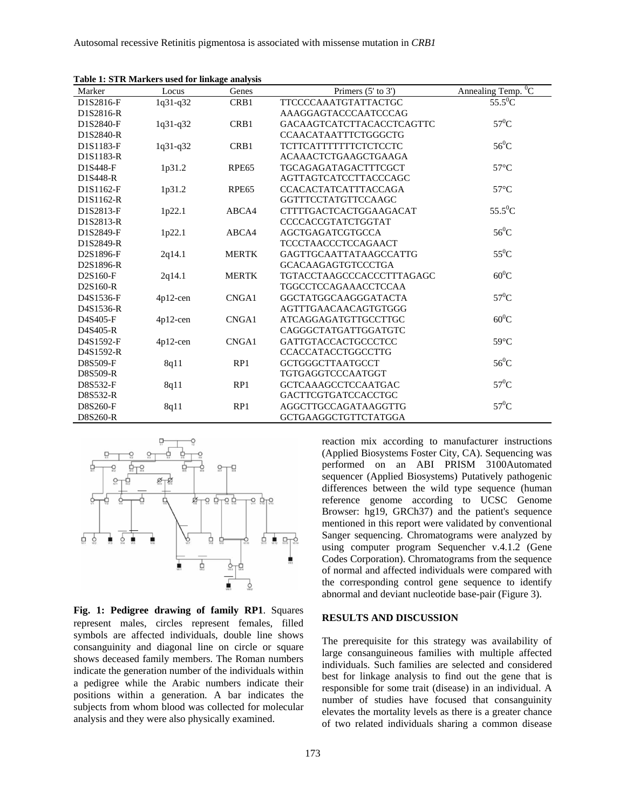| Marker    | Locus       | Genes             | Primers $(5'$ to $3')$           | Annealing Temp. $\overline{{}^0C}$ |
|-----------|-------------|-------------------|----------------------------------|------------------------------------|
| D1S2816-F | 1q31-q32    | CRB1              | TTCCCCAAATGTATTACTGC             | $55.5^0$ C                         |
| D1S2816-R |             |                   | AAAGGAGTACCCAATCCCAG             |                                    |
| D1S2840-F | $1q31-q32$  | CRB1              | <b>GACAAGTCATCTTACACCTCAGTTC</b> | $57^0$ C                           |
| D1S2840-R |             |                   | CCAACATAATTTCTGGGCTG             |                                    |
| D1S1183-F | $1q31-q32$  | CRB1              | <b>TCTTCATTTTTTTTCTCTCCTC</b>    | $56^0C$                            |
| D1S1183-R |             |                   | ACAAACTCTGAAGCTGAAGA             |                                    |
| D1S448-F  | 1p31.2      | RPE <sub>65</sub> | <b>TGCAGAGATAGACTTTCGCT</b>      | $57^{\circ}$ C                     |
| D1S448-R  |             |                   | <b>AGTTAGTCATCCTTACCCAGC</b>     |                                    |
| D1S1162-F | 1p31.2      | RPE <sub>65</sub> | <b>CCACACTATCATTTACCAGA</b>      | $57^{\circ}$ C                     |
| D1S1162-R |             |                   | <b>GGTTTCCTATGTTCCAAGC</b>       |                                    |
| D1S2813-F | 1p22.1      | ABCA4             | CTTTTGACTCACTGGAAGACAT           | $55.5^0C$                          |
| D1S2813-R |             |                   | CCCCACCGTATCTGGTAT               |                                    |
| D1S2849-F | 1p22.1      | ABCA4             | <b>AGCTGAGATCGTGCCA</b>          | $56^0C$                            |
| D1S2849-R |             |                   | <b>TCCCTAACCCTCCAGAACT</b>       |                                    |
| D2S1896-F | 2q14.1      | <b>MERTK</b>      | <b>GAGTTGCAATTATAAGCCATTG</b>    | $55^0C$                            |
| D2S1896-R |             |                   | <b>GCACAAGAGTGTCCCTGA</b>        |                                    |
| D2S160-F  | 2q14.1      | <b>MERTK</b>      | <b>TGTACCTAAGCCCACCCTTTAGAGC</b> | $60^0C$                            |
| D2S160-R  |             |                   | TGGCCTCCAGAAACCTCCAA             |                                    |
| D4S1536-F | $4p12$ -cen | CNGA1             | <b>GGCTATGGCAAGGGATACTA</b>      | $57^0C$                            |
| D4S1536-R |             |                   | AGTTTGAACAACAGTGTGGG             |                                    |
| D4S405-F  | $4p12$ -cen | CNGA1             | ATCAGGAGATGTTGCCTTGC             | $60^0C$                            |
| D4S405-R  |             |                   | CAGGGCTATGATTGGATGTC             |                                    |
| D4S1592-F | $4p12$ -cen | CNGA1             | <b>GATTGTACCACTGCCCTCC</b>       | $59^{\circ}$ C                     |
| D4S1592-R |             |                   | <b>CCACCATACCTGGCCTTG</b>        |                                    |
| D8S509-F  | 8q11        | RP1               | <b>GCTGGGCTTAATGCCT</b>          | $56^0C$                            |
| D8S509-R  |             |                   | <b>TGTGAGGTCCCAATGGT</b>         |                                    |
| D8S532-F  | 8q11        | RP1               | <b>GCTCAAAGCCTCCAATGAC</b>       | $57^0C$                            |
| D8S532-R  |             |                   | GACTTCGTGATCCACCTGC              |                                    |
| D8S260-F  | 8q11        | RP1               | AGGCTTGCCAGATAAGGTTG             | $57^0$ C                           |
| D8S260-R  |             |                   | <b>GCTGAAGGCTGTTCTATGGA</b>      |                                    |

**Table 1: STR Markers used for linkage analysis** 



**Fig. 1: Pedigree drawing of family RP1**. Squares represent males, circles represent females, filled symbols are affected individuals, double line shows consanguinity and diagonal line on circle or square shows deceased family members. The Roman numbers indicate the generation number of the individuals within a pedigree while the Arabic numbers indicate their positions within a generation. A bar indicates the subjects from whom blood was collected for molecular analysis and they were also physically examined.

reaction mix according to manufacturer instructions (Applied Biosystems Foster City, CA). Sequencing was performed on an ABI PRISM 3100Automated sequencer (Applied Biosystems) Putatively pathogenic differences between the wild type sequence (human reference genome according to UCSC Genome Browser: hg19, GRCh37) and the patient's sequence mentioned in this report were validated by conventional Sanger sequencing. Chromatograms were analyzed by using computer program Sequencher v.4.1.2 (Gene Codes Corporation). Chromatograms from the sequence of normal and affected individuals were compared with the corresponding control gene sequence to identify abnormal and deviant nucleotide base-pair (Figure 3).

#### **RESULTS AND DISCUSSION**

The prerequisite for this strategy was availability of large consanguineous families with multiple affected individuals. Such families are selected and considered best for linkage analysis to find out the gene that is responsible for some trait (disease) in an individual. A number of studies have focused that consanguinity elevates the mortality levels as there is a greater chance of two related individuals sharing a common disease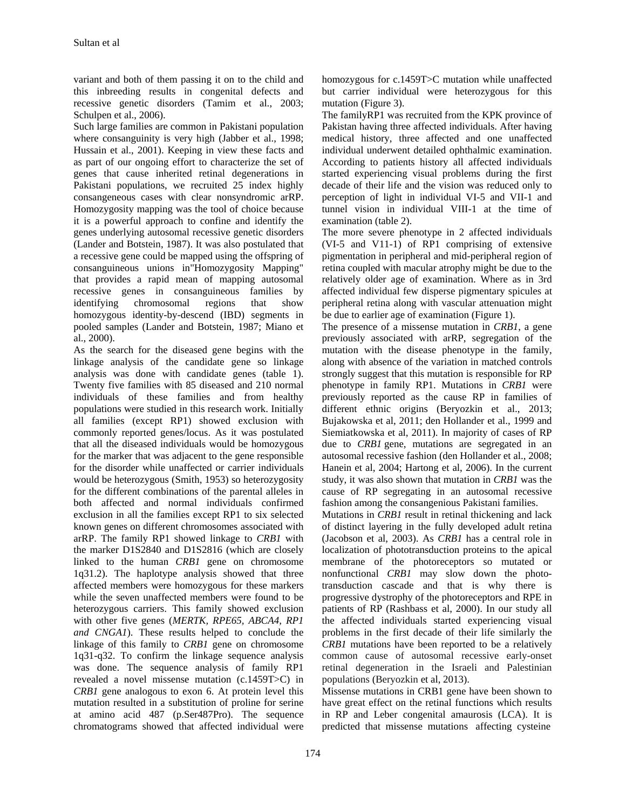variant and both of them passing it on to the child and this inbreeding results in congenital defects and recessive genetic disorders (Tamim et al., 2003; Schulpen et al., 2006).

Such large families are common in Pakistani population where consanguinity is very high (Jabber et al., 1998; Hussain et al., 2001). Keeping in view these facts and as part of our ongoing effort to characterize the set of genes that cause inherited retinal degenerations in Pakistani populations, we recruited 25 index highly consangeneous cases with clear nonsyndromic arRP. Homozygosity mapping was the tool of choice because it is a powerful approach to confine and identify the genes underlying autosomal recessive genetic disorders (Lander and Botstein, 1987). It was also postulated that a recessive gene could be mapped using the offspring of consanguineous unions in"Homozygosity Mapping" that provides a rapid mean of mapping autosomal recessive genes in consanguineous families by identifying chromosomal regions that show homozygous identity-by-descend (IBD) segments in pooled samples (Lander and Botstein, 1987; Miano et al., 2000).

As the search for the diseased gene begins with the linkage analysis of the candidate gene so linkage analysis was done with candidate genes (table 1). Twenty five families with 85 diseased and 210 normal individuals of these families and from healthy populations were studied in this research work. Initially all families (except RP1) showed exclusion with commonly reported genes/locus. As it was postulated that all the diseased individuals would be homozygous for the marker that was adjacent to the gene responsible for the disorder while unaffected or carrier individuals would be heterozygous (Smith, 1953) so heterozygosity for the different combinations of the parental alleles in both affected and normal individuals confirmed exclusion in all the families except RP1 to six selected known genes on different chromosomes associated with arRP. The family RP1 showed linkage to *CRB1* with the marker D1S2840 and D1S2816 (which are closely linked to the human *CRB1* gene on chromosome 1q31.2). The haplotype analysis showed that three affected members were homozygous for these markers while the seven unaffected members were found to be heterozygous carriers. This family showed exclusion with other five genes (*MERTK, RPE65, ABCA4, RP1 and CNGA1*). These results helped to conclude the linkage of this family to *CRB1* gene on chromosome 1q31-q32. To confirm the linkage sequence analysis was done. The sequence analysis of family RP1 revealed a novel missense mutation (c.1459T>C) in *CRB1* gene analogous to exon 6. At protein level this mutation resulted in a substitution of proline for serine at amino acid 487 (p.Ser487Pro). The sequence chromatograms showed that affected individual were

homozygous for c.1459T>C mutation while unaffected but carrier individual were heterozygous for this mutation (Figure 3).

The familyRP1 was recruited from the KPK province of Pakistan having three affected individuals. After having medical history, three affected and one unaffected individual underwent detailed ophthalmic examination. According to patients history all affected individuals started experiencing visual problems during the first decade of their life and the vision was reduced only to perception of light in individual VI-5 and VII-1 and tunnel vision in individual VIII-1 at the time of examination (table 2).

The more severe phenotype in 2 affected individuals (VI-5 and V11-1) of RP1 comprising of extensive pigmentation in peripheral and mid-peripheral region of retina coupled with macular atrophy might be due to the relatively older age of examination. Where as in 3rd affected individual few disperse pigmentary spicules at peripheral retina along with vascular attenuation might be due to earlier age of examination (Figure 1).

The presence of a missense mutation in *CRB1*, a gene previously associated with arRP, segregation of the mutation with the disease phenotype in the family, along with absence of the variation in matched controls strongly suggest that this mutation is responsible for RP phenotype in family RP1. Mutations in *CRB1* were previously reported as the cause RP in families of different ethnic origins (Beryozkin et al., 2013; Bujakowska et al, 2011; den Hollander et al., 1999 and Siemiatkowska et al, 2011). In majority of cases of RP due to *CRB1* gene, mutations are segregated in an autosomal recessive fashion (den Hollander et al., 2008; Hanein et al, 2004; Hartong et al, 2006). In the current study, it was also shown that mutation in *CRB1* was the cause of RP segregating in an autosomal recessive fashion among the consangenious Pakistani families.

Mutations in *CRB1* result in retinal thickening and lack of distinct layering in the fully developed adult retina (Jacobson et al, 2003). As *CRB1* has a central role in localization of phototransduction proteins to the apical membrane of the photoreceptors so mutated or nonfunctional *CRB1* may slow down the phototransduction cascade and that is why there is progressive dystrophy of the photoreceptors and RPE in patients of RP (Rashbass et al, 2000). In our study all the affected individuals started experiencing visual problems in the first decade of their life similarly the *CRB1* mutations have been reported to be a relatively common cause of autosomal recessive early-onset retinal degeneration in the Israeli and Palestinian populations (Beryozkin et al, 2013).

Missense mutations in CRB1 gene have been shown to have great effect on the retinal functions which results in RP and Leber congenital amaurosis (LCA). It is predicted that missense mutations affecting cysteine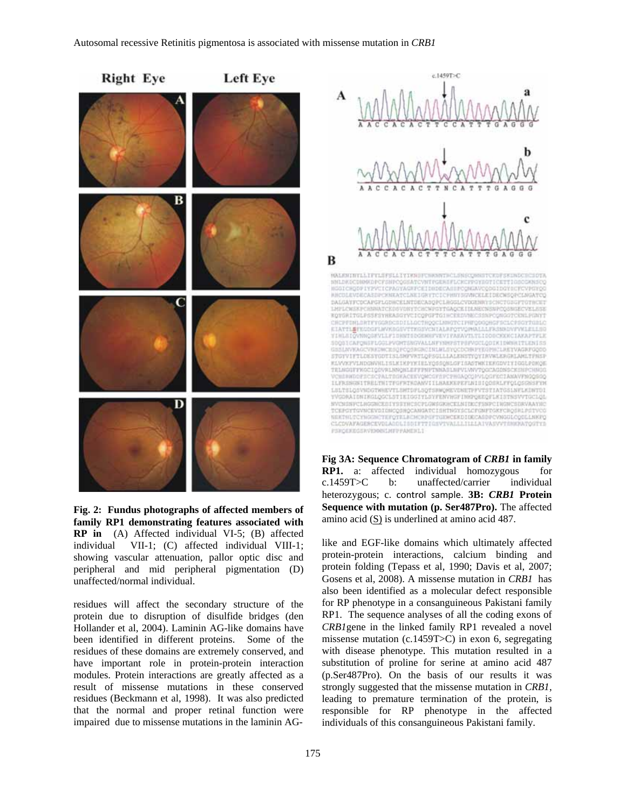

**Fig. 2: Fundus photographs of affected members of family RP1 demonstrating features associated with RP in** (A) Affected individual VI-5; (B) affected individual VII-1; (C) affected individual VIII-1; showing vascular attenuation, pallor optic disc and peripheral and mid peripheral pigmentation (D) unaffected/normal individual.

residues will affect the secondary structure of the protein due to disruption of disulfide bridges (den Hollander et al, 2004). Laminin AG-like domains have been identified in different proteins. Some of the residues of these domains are extremely conserved, and have important role in protein-protein interaction modules. Protein interactions are greatly affected as a result of missense mutations in these conserved residues (Beckmann et al, 1998). It was also predicted that the normal and proper retinal function were impaired due to missense mutations in the laminin AG-





**Fig 3A: Sequence Chromatogram of** *CRB1* **in family RP1.** a: affected individual homozygous for c.1459T>C b: unaffected/carrier individual heterozygous; c. control sample. **3B:** *CRB1* **Protein Sequence with mutation (p. Ser487Pro).** The affected amino acid (S) is underlined at amino acid 487.

like and EGF-like domains which ultimately affected protein-protein interactions, calcium binding and protein folding (Tepass et al, 1990; Davis et al, 2007; Gosens et al, 2008). A missense mutation in *CRB1* has also been identified as a molecular defect responsible for RP phenotype in a consanguineous Pakistani family RP1. The sequence analyses of all the coding exons of *CRB1*gene in the linked family RP1 revealed a novel missense mutation (c.1459T>C) in exon 6, segregating with disease phenotype. This mutation resulted in a substitution of proline for serine at amino acid 487 (p.Ser487Pro). On the basis of our results it was strongly suggested that the missense mutation in *CRB1*, leading to premature termination of the protein, is responsible for RP phenotype in the affected individuals of this consanguineous Pakistani family.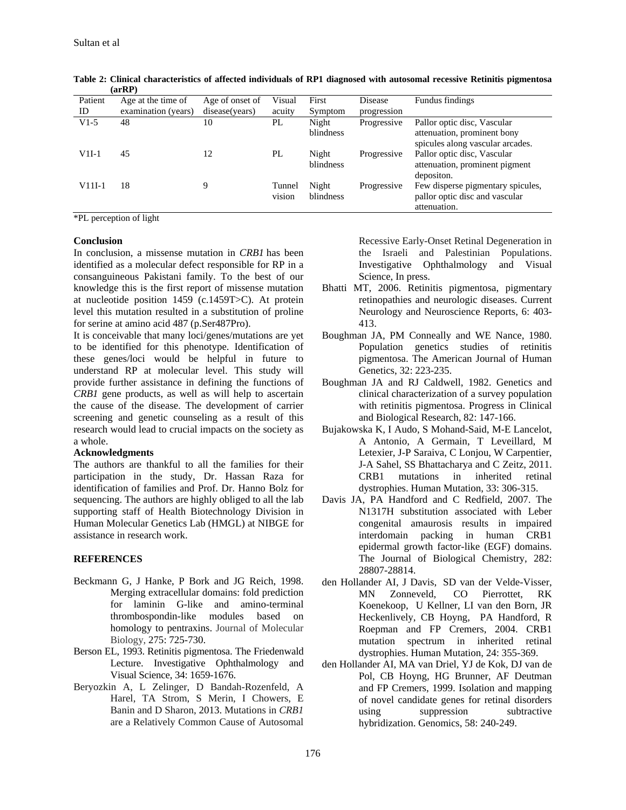| ,        |                     |                 |                  |                    |             |                                                                                                |  |
|----------|---------------------|-----------------|------------------|--------------------|-------------|------------------------------------------------------------------------------------------------|--|
| Patient  | Age at the time of  | Age of onset of | Visual           | First              | Disease     | Fundus findings                                                                                |  |
| ID       | examination (years) | disease(years)  | acuity           | Symptom            | progression |                                                                                                |  |
| $V1-5$   | 48                  | 10              | PL               | Night<br>blindness | Progressive | Pallor optic disc, Vascular<br>attenuation, prominent bony<br>spicules along vascular arcades. |  |
| $V1I-1$  | 45                  | 12              | PL               | Night<br>blindness | Progressive | Pallor optic disc, Vascular<br>attenuation, prominent pigment<br>deposition.                   |  |
| $V11I-1$ | 18                  | 9               | Tunnel<br>vision | Night<br>blindness | Progressive | Few disperse pigmentary spicules,<br>pallor optic disc and vascular<br>attenuation.            |  |

**Table 2: Clinical characteristics of affected individuals of RP1 diagnosed with autosomal recessive Retinitis pigmentosa (arRP)** 

\*PL perception of light

### **Conclusion**

In conclusion, a missense mutation in *CRB1* has been identified as a molecular defect responsible for RP in a consanguineous Pakistani family. To the best of our knowledge this is the first report of missense mutation at nucleotide position 1459 (c.1459T>C). At protein level this mutation resulted in a substitution of proline for serine at amino acid 487 (p.Ser487Pro).

It is conceivable that many loci/genes/mutations are yet to be identified for this phenotype. Identification of these genes/loci would be helpful in future to understand RP at molecular level. This study will provide further assistance in defining the functions of *CRB1* gene products, as well as will help to ascertain the cause of the disease. The development of carrier screening and genetic counseling as a result of this research would lead to crucial impacts on the society as a whole.

#### **Acknowledgments**

The authors are thankful to all the families for their participation in the study, Dr. Hassan Raza for identification of families and Prof. Dr. Hanno Bolz for sequencing. The authors are highly obliged to all the lab supporting staff of Health Biotechnology Division in Human Molecular Genetics Lab (HMGL) at NIBGE for assistance in research work.

#### **REFERENCES**

- Beckmann G, J Hanke, P Bork and JG Reich, 1998. Merging extracellular domains: fold prediction for laminin G-like and amino-terminal thrombospondin-like modules based on homology to pentraxins. Journal of Molecular Biology, 275: 725-730.
- Berson EL, 1993. Retinitis pigmentosa. The Friedenwald Lecture. Investigative Ophthalmology and Visual Science, 34: 1659-1676.
- Beryozkin A, L Zelinger, D Bandah-Rozenfeld, A Harel, TA Strom, S Merin, I Chowers, E Banin and D Sharon, 2013. Mutations in *CRB1*  are a Relatively Common Cause of Autosomal

Recessive Early-Onset Retinal Degeneration in the Israeli and Palestinian Populations. Investigative Ophthalmology and Visual Science, In press.

- Bhatti MT, 2006. Retinitis pigmentosa, pigmentary retinopathies and neurologic diseases. Current Neurology and Neuroscience Reports, 6: 403- 413.
- Boughman JA, PM Conneally and WE Nance, 1980. Population genetics studies of retinitis pigmentosa. The American Journal of Human Genetics, 32: 223-235.
- Boughman JA and RJ Caldwell, 1982. Genetics and clinical characterization of a survey population with retinitis pigmentosa. Progress in Clinical and Biological Research, 82: 147-166.
- Bujakowska K, I Audo, S Mohand-Said, M-E Lancelot, A Antonio, A Germain, T Leveillard, M Letexier, J-P Saraiva, C Lonjou, W Carpentier, J-A Sahel, SS Bhattacharya and C Zeitz, 2011. CRB1 mutations in inherited retinal dystrophies. Human Mutation, 33: 306-315.
- Davis JA, PA Handford and C Redfield, 2007. The N1317H substitution associated with Leber congenital amaurosis results in impaired interdomain packing in human CRB1 epidermal growth factor-like (EGF) domains. The Journal of Biological Chemistry, 282: 28807-28814.
- den Hollander AI, J Davis, SD van der Velde-Visser, MN Zonneveld, CO Pierrottet, RK Koenekoop, U Kellner, LI van den Born, JR Heckenlively, CB Hoyng, PA Handford, R Roepman and FP Cremers, 2004. CRB1 mutation spectrum in inherited retinal dystrophies. Human Mutation, 24: 355-369.
- den Hollander AI, MA van Driel, YJ de Kok, DJ van de Pol, CB Hoyng, HG Brunner, AF Deutman and FP Cremers, 1999. Isolation and mapping of novel candidate genes for retinal disorders using suppression subtractive hybridization. Genomics, 58: 240-249.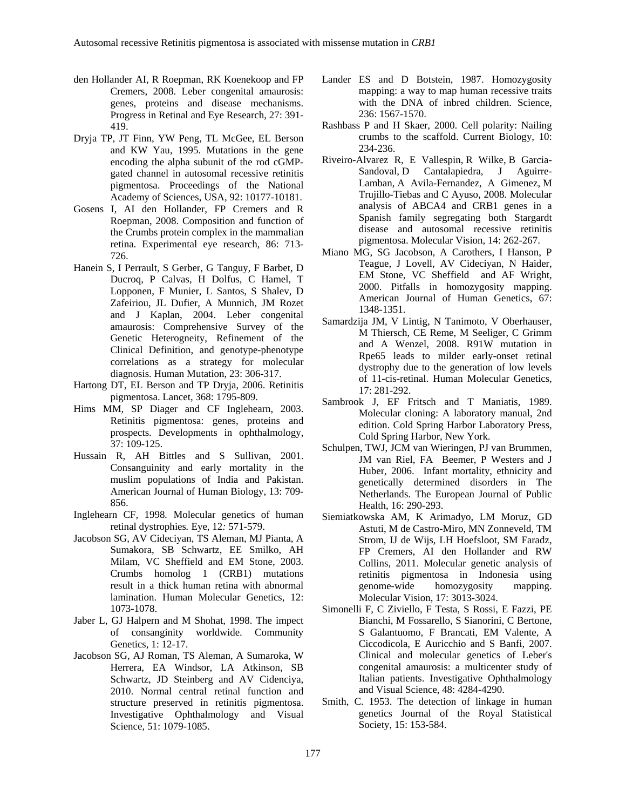- den Hollander AI, R Roepman, RK Koenekoop and FP Cremers, 2008. Leber congenital amaurosis: genes, proteins and disease mechanisms. Progress in Retinal and Eye Research, 27: 391- 419.
- Dryja TP, JT Finn, YW Peng, TL McGee, EL Berson and KW Yau, 1995. Mutations in the gene encoding the alpha subunit of the rod cGMPgated channel in autosomal recessive retinitis pigmentosa. Proceedings of the National Academy of Sciences, USA, 92: 10177-10181.
- Gosens I, AI den Hollander, FP Cremers and R Roepman, 2008. Composition and function of the Crumbs protein complex in the mammalian retina. Experimental eye research, 86: 713- 726.
- Hanein S, I Perrault, S Gerber, G Tanguy, F Barbet, D Ducroq, P Calvas, H Dolfus, C Hamel, T Lopponen, F Munier, L Santos, S Shalev, D Zafeiriou, JL Dufier, A Munnich, JM Rozet and J Kaplan, 2004. Leber congenital amaurosis: Comprehensive Survey of the Genetic Heterogneity, Refinement of the Clinical Definition, and genotype-phenotype correlations as a strategy for molecular diagnosis. Human Mutation, 23: 306-317.
- Hartong DT, EL Berson and TP Dryja, 2006. Retinitis pigmentosa. Lancet, 368: 1795-809.
- Hims MM, SP Diager and CF Inglehearn, 2003. Retinitis pigmentosa: genes, proteins and prospects. Developments in ophthalmology, 37: 109-125.
- Hussain R, AH Bittles and S Sullivan, 2001. Consanguinity and early mortality in the muslim populations of India and Pakistan. American Journal of Human Biology, 13: 709- 856.
- Inglehearn CF*,* 1998*.* Molecular genetics of human retinal dystrophies*.* Eye, 12*:* 571-579.
- Jacobson SG, AV Cideciyan, TS Aleman, MJ Pianta, A Sumakora, SB Schwartz, EE Smilko, AH Milam, VC Sheffield and EM Stone, 2003. Crumbs homolog 1 (CRB1) mutations result in a thick human retina with abnormal lamination. Human Molecular Genetics, 12: 1073-1078.
- Jaber L, GJ Halpern and M Shohat, 1998. The impect of consanginity worldwide. Community Genetics, 1: 12-17.
- Jacobson SG, AJ Roman, TS Aleman, A Sumaroka, W Herrera, EA Windsor, LA Atkinson, SB Schwartz, JD Steinberg and AV Cidenciya, 2010. Normal central retinal function and structure preserved in retinitis pigmentosa. Investigative Ophthalmology and Visual Science, 51: 1079-1085.
- Lander ES and D Botstein, 1987. Homozygosity mapping: a way to map human recessive traits with the DNA of inbred children. Science, 236: 1567-1570.
- Rashbass P and H Skaer, 2000. Cell polarity: Nailing crumbs to the scaffold. Current Biology, 10: 234-236.
- Riveiro-Alvarez R, E Vallespin, R Wilke, B Garcia-Sandoval, D Cantalapiedra, J Aguirre-Lamban, A Avila-Fernandez, A Gimenez, M Trujillo-Tiebas and C Ayuso, 2008. Molecular analysis of ABCA4 and CRB1 genes in a Spanish family segregating both Stargardt disease and autosomal recessive retinitis pigmentosa. Molecular Vision, 14: 262-267.
- Miano MG, SG Jacobson, A Carothers, I Hanson, P Teague, J Lovell, AV Cideciyan, N Haider, EM Stone, VC Sheffield and AF Wright, 2000. Pitfalls in homozygosity mapping. American Journal of Human Genetics, 67: 1348-1351.
- Samardzija JM, V Lintig, N Tanimoto, V Oberhauser, M Thiersch, CE Reme, M Seeliger, C Grimm and A Wenzel, 2008. R91W mutation in Rpe65 leads to milder early-onset retinal dystrophy due to the generation of low levels of 11-cis-retinal. Human Molecular Genetics, 17: 281-292.
- Sambrook J, EF Fritsch and T Maniatis, 1989. Molecular cloning: A laboratory manual, 2nd edition. Cold Spring Harbor Laboratory Press, Cold Spring Harbor, New York.
- Schulpen, TWJ, JCM van Wieringen, PJ van Brummen, JM van Riel, FA Beemer, P Westers and J Huber, 2006. Infant mortality, ethnicity and genetically determined disorders in The Netherlands. The European Journal of Public Health, 16: 290-293.
- Siemiatkowska AM, K Arimadyo, LM Moruz, GD Astuti, M de Castro-Miro, MN Zonneveld, TM Strom, IJ de Wijs, LH Hoefsloot, SM Faradz, FP Cremers, AI den Hollander and RW Collins, 2011. Molecular genetic analysis of retinitis pigmentosa in Indonesia using genome-wide homozygosity mapping. Molecular Vision, 17: 3013-3024.
- Simonelli F, C Ziviello, F Testa, S Rossi, E Fazzi, PE Bianchi, M Fossarello, S Sianorini, C Bertone, S Galantuomo, F Brancati, EM Valente, A Ciccodicola, E Auricchio and S Banfi, 2007. Clinical and molecular genetics of Leber's congenital amaurosis: a multicenter study of Italian patients. Investigative Ophthalmology and Visual Science, 48: 4284-4290.
- Smith, C. 1953. The detection of linkage in human genetics Journal of the Royal Statistical Society, 15: 153-584.